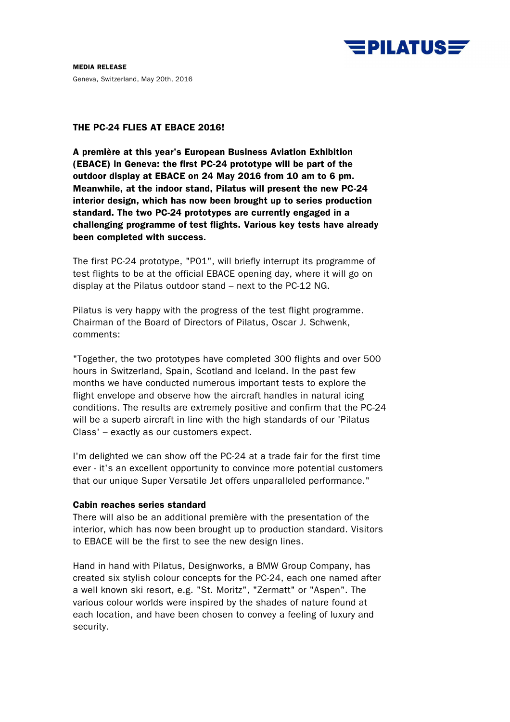

**MEDIA RELEASE**  Geneva, Switzerland, May 20th, 2016

## **THE PC-24 FLIES AT EBACE 2016!**

**A première at this year's European Business Aviation Exhibition (EBACE) in Geneva: the first PC-24 prototype will be part of the outdoor display at EBACE on 24 May 2016 from 10 am to 6 pm. Meanwhile, at the indoor stand, Pilatus will present the new PC-24 interior design, which has now been brought up to series production standard. The two PC-24 prototypes are currently engaged in a challenging programme of test flights. Various key tests have already been completed with success.** 

The first PC-24 prototype, "P01", will briefly interrupt its programme of test flights to be at the official EBACE opening day, where it will go on display at the Pilatus outdoor stand – next to the PC-12 NG.

Pilatus is very happy with the progress of the test flight programme. Chairman of the Board of Directors of Pilatus, Oscar J. Schwenk, comments:

"Together, the two prototypes have completed 300 flights and over 500 hours in Switzerland, Spain, Scotland and Iceland. In the past few months we have conducted numerous important tests to explore the flight envelope and observe how the aircraft handles in natural icing conditions. The results are extremely positive and confirm that the PC-24 will be a superb aircraft in line with the high standards of our 'Pilatus Class' – exactly as our customers expect.

I'm delighted we can show off the PC-24 at a trade fair for the first time ever - it's an excellent opportunity to convince more potential customers that our unique Super Versatile Jet offers unparalleled performance."

## **Cabin reaches series standard**

There will also be an additional première with the presentation of the interior, which has now been brought up to production standard. Visitors to EBACE will be the first to see the new design lines.

Hand in hand with Pilatus, Designworks, a BMW Group Company, has created six stylish colour concepts for the PC-24, each one named after a well known ski resort, e.g. "St. Moritz", "Zermatt" or "Aspen". The various colour worlds were inspired by the shades of nature found at each location, and have been chosen to convey a feeling of luxury and security.